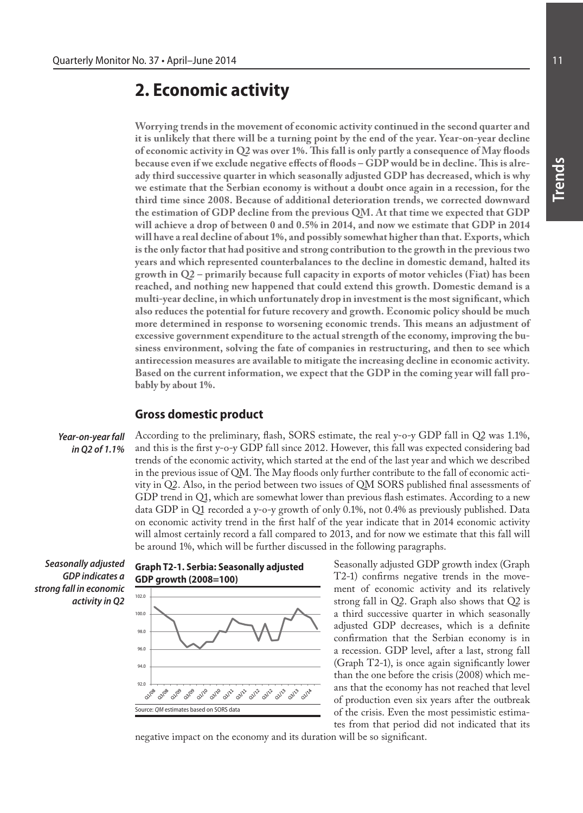# **2. Economic activity**

**Worrying trends in the movement of economic activity continued in the second quarter and it is unlikely that there will be a turning point by the end of the year. Year-on-year decline of economic activity in Q2 was over 1%. This fall is only partly a consequence of May floods because even if we exclude negative effects of floods – GDP would be in decline. This is already third successive quarter in which seasonally adjusted GDP has decreased, which is why we estimate that the Serbian economy is without a doubt once again in a recession, for the third time since 2008. Because of additional deterioration trends, we corrected downward the estimation of GDP decline from the previous QM. At that time we expected that GDP will achieve a drop of between 0 and 0.5% in 2014, and now we estimate that GDP in 2014 will have a real decline of about 1%, and possibly somewhat higher than that. Exports, which is the only factor that had positive and strong contribution to the growth in the previous two years and which represented counterbalances to the decline in domestic demand, halted its growth in Q2 – primarily because full capacity in exports of motor vehicles (Fiat) has been reached, and nothing new happened that could extend this growth. Domestic demand is a multi-year decline, in which unfortunately drop in investment is the most significant, which also reduces the potential for future recovery and growth. Economic policy should be much more determined in response to worsening economic trends. This means an adjustment of excessive government expenditure to the actual strength of the economy, improving the business environment, solving the fate of companies in restructuring, and then to see which antirecession measures are available to mitigate the increasing decline in economic activity. Based on the current information, we expect that the GDP in the coming year will fall probably by about 1%.**

# **Gross domestic product**

*Year-on-year fall in Q2 of 1.1%*

According to the preliminary, flash, SORS estimate, the real y-o-y GDP fall in Q2 was 1.1%, and this is the first y-o-y GDP fall since 2012. However, this fall was expected considering bad trends of the economic activity, which started at the end of the last year and which we described in the previous issue of QM. The May floods only further contribute to the fall of economic activity in Q2. Also, in the period between two issues of QM SORS published final assessments of GDP trend in Q1, which are somewhat lower than previous flash estimates. According to a new data GDP in Q1 recorded a y-o-y growth of only 0.1%, not 0.4% as previously published. Data on economic activity trend in the first half of the year indicate that in 2014 economic activity will almost certainly record a fall compared to 2013, and for now we estimate that this fall will be around 1%, which will be further discussed in the following paragraphs.

*Seasonally adjusted GDP indicates a strong fall in economic activity in Q2*



Seasonally adjusted GDP growth index (Graph T2-1) confirms negative trends in the movement of economic activity and its relatively strong fall in Q2. Graph also shows that Q2 is a third successive quarter in which seasonally adjusted GDP decreases, which is a definite confirmation that the Serbian economy is in a recession. GDP level, after a last, strong fall (Graph T2-1), is once again significantly lower than the one before the crisis (2008) which means that the economy has not reached that level of production even six years after the outbreak of the crisis. Even the most pessimistic estimates from that period did not indicated that its

negative impact on the economy and its duration will be so significant.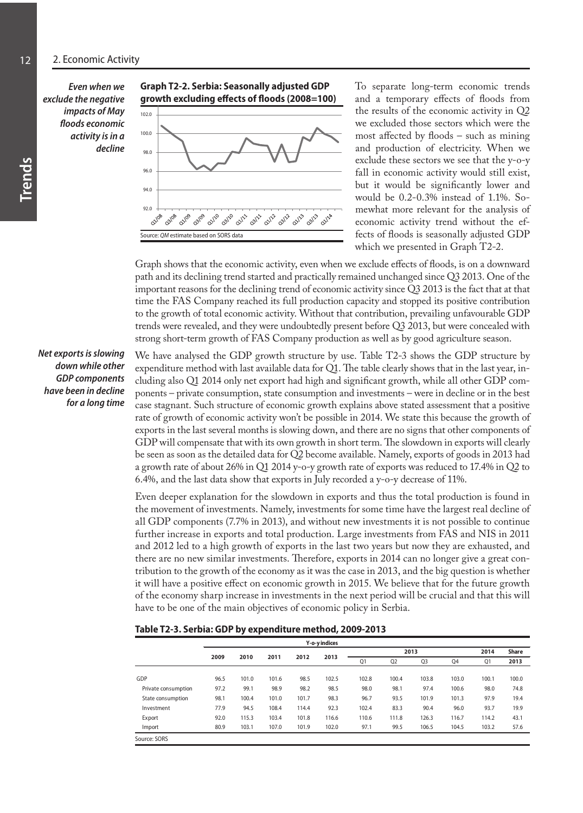#### 12 2. Economic Activity

*Even when we exclude the negative impacts of May floods economic activity is in a decline* 

#### **Graph T2-2. Serbia: Seasonally adjusted GDP growth excluding effects of floods (2008=100)**



To separate long-term economic trends and a temporary effects of floods from the results of the economic activity in Q2 we excluded those sectors which were the most affected by floods – such as mining and production of electricity. When we exclude these sectors we see that the y-o-y fall in economic activity would still exist, but it would be significantly lower and would be 0.2-0.3% instead of 1.1%. Somewhat more relevant for the analysis of economic activity trend without the effects of floods is seasonally adjusted GDP which we presented in Graph T2-2.

Graph shows that the economic activity, even when we exclude effects of floods, is on a downward path and its declining trend started and practically remained unchanged since Q3 2013. One of the important reasons for the declining trend of economic activity since Q3 2013 is the fact that at that time the FAS Company reached its full production capacity and stopped its positive contribution to the growth of total economic activity. Without that contribution, prevailing unfavourable GDP trends were revealed, and they were undoubtedly present before Q3 2013, but were concealed with strong short-term growth of FAS Company production as well as by good agriculture season.

*Net exports is slowing down while other GDP components have been in decline for a long time* 

We have analysed the GDP growth structure by use. Table T2-3 shows the GDP structure by expenditure method with last available data for Q1. The table clearly shows that in the last year, including also Q1 2014 only net export had high and significant growth, while all other GDP components – private consumption, state consumption and investments – were in decline or in the best case stagnant. Such structure of economic growth explains above stated assessment that a positive rate of growth of economic activity won't be possible in 2014. We state this because the growth of exports in the last several months is slowing down, and there are no signs that other components of GDP will compensate that with its own growth in short term. The slowdown in exports will clearly be seen as soon as the detailed data for Q2 become available. Namely, exports of goods in 2013 had a growth rate of about 26% in Q1 2014 y-o-y growth rate of exports was reduced to 17.4% in Q2 to 6.4%, and the last data show that exports in July recorded a y-o-y decrease of 11%.

Even deeper explanation for the slowdown in exports and thus the total production is found in the movement of investments. Namely, investments for some time have the largest real decline of all GDP components (7.7% in 2013), and without new investments it is not possible to continue further increase in exports and total production. Large investments from FAS and NIS in 2011 and 2012 led to a high growth of exports in the last two years but now they are exhausted, and there are no new similar investments. Therefore, exports in 2014 can no longer give a great contribution to the growth of the economy as it was the case in 2013, and the big question is whether it will have a positive effect on economic growth in 2015. We believe that for the future growth of the economy sharp increase in investments in the next period will be crucial and that this will have to be one of the main objectives of economic policy in Serbia.

#### **Table T2-3. Serbia: GDP by expenditure method, 2009-2013**

|                     |      |       |       |       | Y-o-y indices |       |                |                |       |       |              |
|---------------------|------|-------|-------|-------|---------------|-------|----------------|----------------|-------|-------|--------------|
|                     |      |       |       |       |               |       |                | 2013           |       | 2014  | <b>Share</b> |
|                     | 2009 | 2010  | 2011  | 2012  | 2013          | Q1    | Q <sub>2</sub> | Q <sub>3</sub> | Q4    | Q1    | 2013         |
| GDP                 | 96.5 | 101.0 | 101.6 | 98.5  | 102.5         | 102.8 | 100.4          | 103.8          | 103.0 | 100.1 | 100.0        |
| Private consumption | 97.2 | 99.1  | 98.9  | 98.2  | 98.5          | 98.0  | 98.1           | 97.4           | 100.6 | 98.0  | 74.8         |
| State consumption   | 98.1 | 100.4 | 101.0 | 101.7 | 98.3          | 96.7  | 93.5           | 101.9          | 101.3 | 97.9  | 19.4         |
| Investment          | 77.9 | 94.5  | 108.4 | 114.4 | 92.3          | 102.4 | 83.3           | 90.4           | 96.0  | 93.7  | 19.9         |
| Export              | 92.0 | 115.3 | 103.4 | 101.8 | 116.6         | 110.6 | 111.8          | 126.3          | 116.7 | 114.2 | 43.1         |
| Import              | 80.9 | 103.1 | 107.0 | 101.9 | 102.0         | 97.1  | 99.5           | 106.5          | 104.5 | 103.2 | 57.6         |
| Source: SORS        |      |       |       |       |               |       |                |                |       |       |              |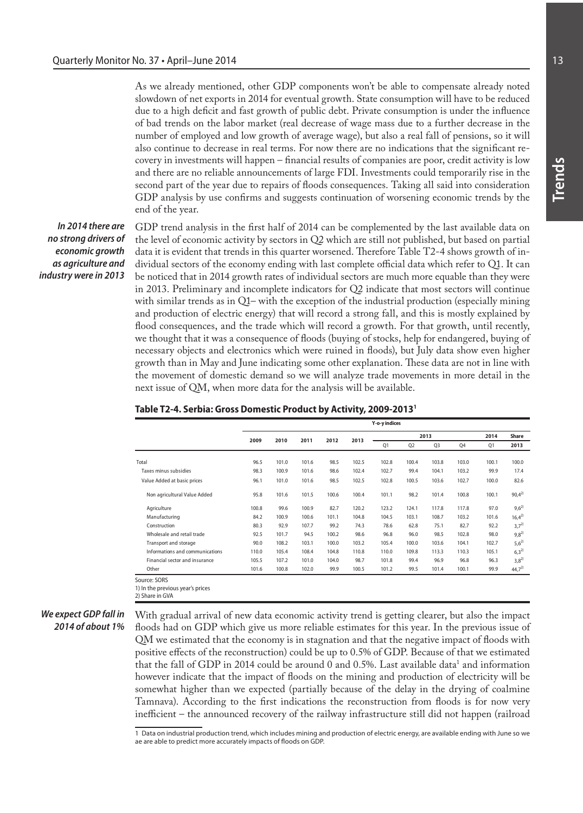As we already mentioned, other GDP components won't be able to compensate already noted slowdown of net exports in 2014 for eventual growth. State consumption will have to be reduced due to a high deficit and fast growth of public debt. Private consumption is under the influence of bad trends on the labor market (real decrease of wage mass due to a further decrease in the number of employed and low growth of average wage), but also a real fall of pensions, so it will also continue to decrease in real terms. For now there are no indications that the significant recovery in investments will happen – financial results of companies are poor, credit activity is low and there are no reliable announcements of large FDI. Investments could temporarily rise in the second part of the year due to repairs of floods consequences. Taking all said into consideration GDP analysis by use confirms and suggests continuation of worsening economic trends by the end of the year.

*In 2014 there are no strong drivers of economic growth as agriculture and industry were in 2013*

GDP trend analysis in the first half of 2014 can be complemented by the last available data on the level of economic activity by sectors in Q2 which are still not published, but based on partial data it is evident that trends in this quarter worsened. Therefore Table T2-4 shows growth of individual sectors of the economy ending with last complete official data which refer to Q1. It can be noticed that in 2014 growth rates of individual sectors are much more equable than they were in 2013. Preliminary and incomplete indicators for Q2 indicate that most sectors will continue with similar trends as in Q1– with the exception of the industrial production (especially mining and production of electric energy) that will record a strong fall, and this is mostly explained by flood consequences, and the trade which will record a growth. For that growth, until recently, we thought that it was a consequence of floods (buying of stocks, help for endangered, buying of necessary objects and electronics which were ruined in floods), but July data show even higher growth than in May and June indicating some other explanation. These data are not in line with the movement of domestic demand so we will analyze trade movements in more detail in the next issue of QM, when more data for the analysis will be available.

| Table T2-4. Serbia: Gross Domestic Product by Activity, 2009-2013 <sup>1</sup> |  |  |
|--------------------------------------------------------------------------------|--|--|
|--------------------------------------------------------------------------------|--|--|

|                                 | Y-o-y indices |       |       |       |       |       |                |       |       |                |              |
|---------------------------------|---------------|-------|-------|-------|-------|-------|----------------|-------|-------|----------------|--------------|
|                                 |               | 2013  |       |       |       |       |                |       |       |                | <b>Share</b> |
|                                 | 2009          | 2010  | 2011  | 2012  | 2013  | Q1    | Q <sub>2</sub> | 03    | 04    | O <sub>1</sub> | 2013         |
| Total                           | 96.5          | 101.0 | 101.6 | 98.5  | 102.5 | 102.8 | 100.4          | 103.8 | 103.0 | 100.1          | 100.0        |
| Taxes minus subsidies           | 98.3          | 100.9 | 101.6 | 98.6  | 102.4 | 102.7 | 99.4           | 104.1 | 103.2 | 99.9           | 17.4         |
| Value Added at basic prices     | 96.1          | 101.0 | 101.6 | 98.5  | 102.5 | 102.8 | 100.5          | 103.6 | 102.7 | 100.0          | 82.6         |
| Non agricultural Value Added    | 95.8          | 101.6 | 101.5 | 100.6 | 100.4 | 101.1 | 98.2           | 101.4 | 100.8 | 100.1          | $90,4^{2}$   |
| Agriculture                     | 100.8         | 99.6  | 100.9 | 82.7  | 120.2 | 123.2 | 124.1          | 117.8 | 117.8 | 97.0           | $9,6^{2}$    |
| Manufacturing                   | 84.2          | 100.9 | 100.6 | 101.1 | 104.8 | 104.5 | 103.1          | 108.7 | 103.2 | 101.6          | $16,4^{2}$   |
| Construction                    | 80.3          | 92.9  | 107.7 | 99.2  | 74.3  | 78.6  | 62.8           | 75.1  | 82.7  | 92.2           | $3,7^{2}$    |
| Wholesale and retail trade      | 92.5          | 101.7 | 94.5  | 100.2 | 98.6  | 96.8  | 96.0           | 98.5  | 102.8 | 98.0           | $9,8^{2}$    |
| Transport and storage           | 90.0          | 108.2 | 103.1 | 100.0 | 103.2 | 105.4 | 100.0          | 103.6 | 104.1 | 102.7          | $5,6^{2}$    |
| Informations and communications | 110.0         | 105.4 | 108.4 | 104.8 | 110.8 | 110.0 | 109.8          | 113.3 | 110.3 | 105.1          | $6,3^{2}$    |
| Financial sector and insurance  | 105.5         | 107.2 | 101.0 | 104.0 | 98.7  | 101.8 | 99.4           | 96.9  | 96.8  | 96.3           | $3,8^{2}$    |
| Other                           | 101.6         | 100.8 | 102.0 | 99.9  | 100.5 | 101.2 | 99.5           | 101.4 | 100.1 | 99.9           | $44,7^{2}$   |

1) In the previous year's prices 2) Share in GVA

#### *We expect GDP fall in 2014 of about 1%*

With gradual arrival of new data economic activity trend is getting clearer, but also the impact floods had on GDP which give us more reliable estimates for this year. In the previous issue of QM we estimated that the economy is in stagnation and that the negative impact of floods with positive effects of the reconstruction) could be up to 0.5% of GDP. Because of that we estimated that the fall of GDP in 2014 could be around 0 and  $0.5\%$ . Last available data<sup>1</sup> and information however indicate that the impact of floods on the mining and production of electricity will be somewhat higher than we expected (partially because of the delay in the drying of coalmine Tamnava). According to the first indications the reconstruction from floods is for now very inefficient – the announced recovery of the railway infrastructure still did not happen (railroad

1 Data on industrial production trend, which includes mining and production of electric energy, are available ending with June so we ae are able to predict more accurately impacts of floods on GDP.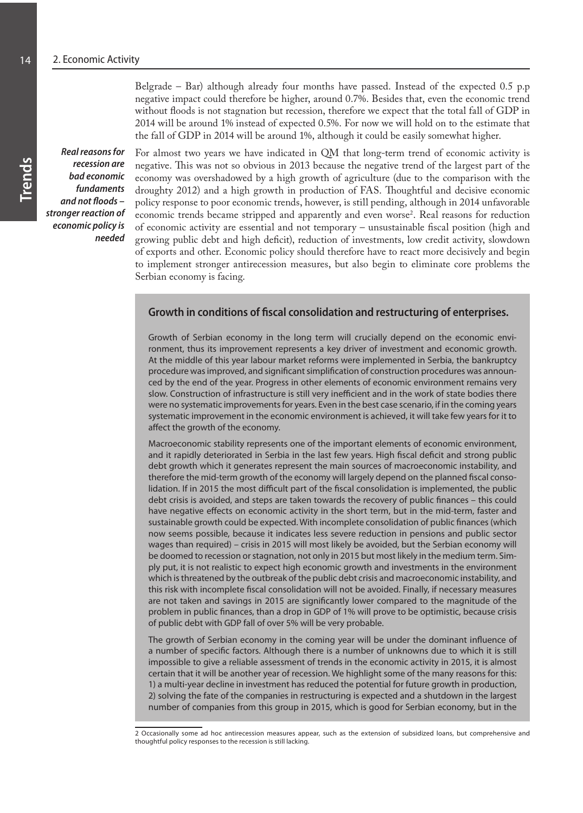Belgrade – Bar) although already four months have passed. Instead of the expected 0.5 p.p negative impact could therefore be higher, around 0.7%. Besides that, even the economic trend without floods is not stagnation but recession, therefore we expect that the total fall of GDP in 2014 will be around 1% instead of expected 0.5%. For now we will hold on to the estimate that the fall of GDP in 2014 will be around 1%, although it could be easily somewhat higher.

*Real reasons for recession are bad economic fundaments and not floods – stronger reaction of economic policy is needed*

For almost two years we have indicated in QM that long-term trend of economic activity is negative. This was not so obvious in 2013 because the negative trend of the largest part of the economy was overshadowed by a high growth of agriculture (due to the comparison with the droughty 2012) and a high growth in production of FAS. Thoughtful and decisive economic policy response to poor economic trends, however, is still pending, although in 2014 unfavorable economic trends became stripped and apparently and even worse<sup>2</sup>. Real reasons for reduction of economic activity are essential and not temporary – unsustainable fiscal position (high and growing public debt and high deficit), reduction of investments, low credit activity, slowdown of exports and other. Economic policy should therefore have to react more decisively and begin to implement stronger antirecession measures, but also begin to eliminate core problems the Serbian economy is facing.

# **Growth in conditions of fiscal consolidation and restructuring of enterprises.**

Growth of Serbian economy in the long term will crucially depend on the economic environment, thus its improvement represents a key driver of investment and economic growth. At the middle of this year labour market reforms were implemented in Serbia, the bankruptcy procedure was improved, and significant simplification of construction procedures was announced by the end of the year. Progress in other elements of economic environment remains very slow. Construction of infrastructure is still very inefficient and in the work of state bodies there were no systematic improvements for years. Even in the best case scenario, if in the coming years systematic improvement in the economic environment is achieved, it will take few years for it to affect the growth of the economy.

Macroeconomic stability represents one of the important elements of economic environment, and it rapidly deteriorated in Serbia in the last few years. High fiscal deficit and strong public debt growth which it generates represent the main sources of macroeconomic instability, and therefore the mid-term growth of the economy will largely depend on the planned fiscal consolidation. If in 2015 the most difficult part of the fiscal consolidation is implemented, the public debt crisis is avoided, and steps are taken towards the recovery of public finances – this could have negative effects on economic activity in the short term, but in the mid-term, faster and sustainable growth could be expected. With incomplete consolidation of public finances (which now seems possible, because it indicates less severe reduction in pensions and public sector wages than required) – crisis in 2015 will most likely be avoided, but the Serbian economy will be doomed to recession or stagnation, not only in 2015 but most likely in the medium term. Simply put, it is not realistic to expect high economic growth and investments in the environment which is threatened by the outbreak of the public debt crisis and macroeconomic instability, and this risk with incomplete fiscal consolidation will not be avoided. Finally, if necessary measures are not taken and savings in 2015 are significantly lower compared to the magnitude of the problem in public finances, than a drop in GDP of 1% will prove to be optimistic, because crisis of public debt with GDP fall of over 5% will be very probable.

The growth of Serbian economy in the coming year will be under the dominant influence of a number of specific factors. Although there is a number of unknowns due to which it is still impossible to give a reliable assessment of trends in the economic activity in 2015, it is almost certain that it will be another year of recession. We highlight some of the many reasons for this: 1) a multi-year decline in investment has reduced the potential for future growth in production, 2) solving the fate of the companies in restructuring is expected and a shutdown in the largest number of companies from this group in 2015, which is good for Serbian economy, but in the

<sup>2</sup> Occasionally some ad hoc antirecession measures appear, such as the extension of subsidized loans, but comprehensive and thoughtful policy responses to the recession is still lacking.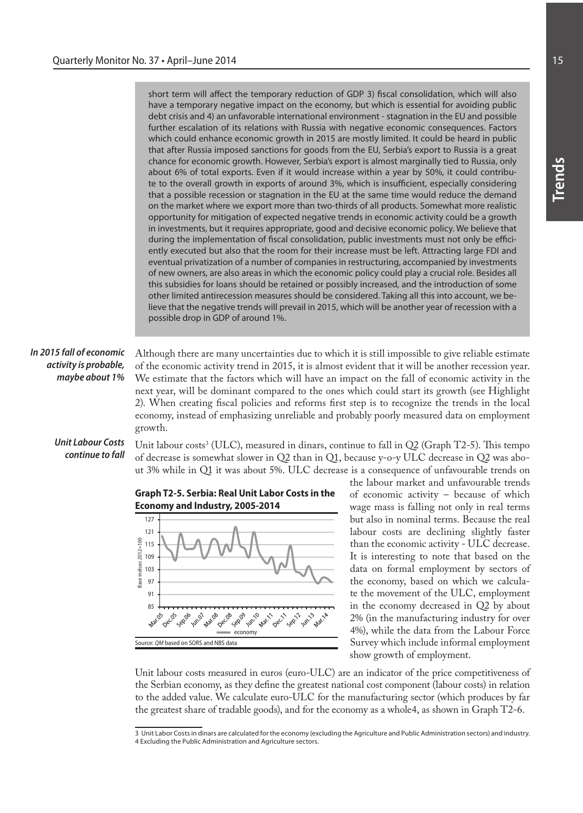|                                                                     | short term will affect the temporary reduction of GDP 3) fiscal consolidation, which will also<br>have a temporary negative impact on the economy, but which is essential for avoiding public<br>debt crisis and 4) an unfavorable international environment - stagnation in the EU and possible<br>further escalation of its relations with Russia with negative economic consequences. Factors<br>which could enhance economic growth in 2015 are mostly limited. It could be heard in public<br>that after Russia imposed sanctions for goods from the EU, Serbia's export to Russia is a great<br>chance for economic growth. However, Serbia's export is almost marginally tied to Russia, only<br>about 6% of total exports. Even if it would increase within a year by 50%, it could contribu-<br>te to the overall growth in exports of around 3%, which is insufficient, especially considering<br>that a possible recession or stagnation in the EU at the same time would reduce the demand<br>on the market where we export more than two-thirds of all products. Somewhat more realistic<br>opportunity for mitigation of expected negative trends in economic activity could be a growth<br>in investments, but it requires appropriate, good and decisive economic policy. We believe that<br>during the implementation of fiscal consolidation, public investments must not only be effici-<br>ently executed but also that the room for their increase must be left. Attracting large FDI and<br>eventual privatization of a number of companies in restructuring, accompanied by investments<br>of new owners, are also areas in which the economic policy could play a crucial role. Besides all<br>this subsidies for loans should be retained or possibly increased, and the introduction of some<br>other limited antirecession measures should be considered. Taking all this into account, we be-<br>lieve that the negative trends will prevail in 2015, which will be another year of recession with a<br>possible drop in GDP of around 1%. |                                                                                        |
|---------------------------------------------------------------------|------------------------------------------------------------------------------------------------------------------------------------------------------------------------------------------------------------------------------------------------------------------------------------------------------------------------------------------------------------------------------------------------------------------------------------------------------------------------------------------------------------------------------------------------------------------------------------------------------------------------------------------------------------------------------------------------------------------------------------------------------------------------------------------------------------------------------------------------------------------------------------------------------------------------------------------------------------------------------------------------------------------------------------------------------------------------------------------------------------------------------------------------------------------------------------------------------------------------------------------------------------------------------------------------------------------------------------------------------------------------------------------------------------------------------------------------------------------------------------------------------------------------------------------------------------------------------------------------------------------------------------------------------------------------------------------------------------------------------------------------------------------------------------------------------------------------------------------------------------------------------------------------------------------------------------------------------------------------------------------------------------------------------------------------------------------------|----------------------------------------------------------------------------------------|
| In 2015 fall of economic<br>activity is probable,<br>maybe about 1% | Although there are many uncertainties due to which it is still impossible to give reliable estimate<br>of the economic activity trend in 2015, it is almost evident that it will be another recession year.<br>We estimate that the factors which will have an impact on the fall of economic activity in the<br>next year, will be dominant compared to the ones which could start its growth (see Highlight<br>2). When creating fiscal policies and reforms first step is to recognize the trends in the local<br>economy, instead of emphasizing unreliable and probably poorly measured data on employment<br>growth.                                                                                                                                                                                                                                                                                                                                                                                                                                                                                                                                                                                                                                                                                                                                                                                                                                                                                                                                                                                                                                                                                                                                                                                                                                                                                                                                                                                                                                             |                                                                                        |
| <b>Unit Labour Costs</b><br>continue to fall                        | Unit labour costs <sup>3</sup> (ULC), measured in dinars, continue to fall in Q2 (Graph T2-5). This tempo<br>of decrease is somewhat slower in Q2 than in Q1, because y-o-y ULC decrease in Q2 was abo-<br>ut 3% while in Q1 it was about 5%. ULC decrease is a consequence of unfavourable trends on                                                                                                                                                                                                                                                                                                                                                                                                                                                                                                                                                                                                                                                                                                                                                                                                                                                                                                                                                                                                                                                                                                                                                                                                                                                                                                                                                                                                                                                                                                                                                                                                                                                                                                                                                                  | the labour market and unfavourable trends                                              |
|                                                                     | <b>Graph T2-5. Serbia: Real Unit Labor Costs in the</b><br>Economy and Industry, 2005-2014                                                                                                                                                                                                                                                                                                                                                                                                                                                                                                                                                                                                                                                                                                                                                                                                                                                                                                                                                                                                                                                                                                                                                                                                                                                                                                                                                                                                                                                                                                                                                                                                                                                                                                                                                                                                                                                                                                                                                                             | of economic activity - because of which<br>wage mass is falling not only in real terms |



wage mass is falling not only in real terms but also in nominal terms. Because the real labour costs are declining slightly faster than the economic activity - ULC decrease. It is interesting to note that based on the data on formal employment by sectors of the economy, based on which we calculate the movement of the ULC, employment in the economy decreased in Q2 by about 2% (in the manufacturing industry for over 4%), while the data from the Labour Force Survey which include informal employment show growth of employment.

Unit labour costs measured in euros (euro-ULC) are an indicator of the price competitiveness of the Serbian economy, as they define the greatest national cost component (labour costs) in relation to the added value. We calculate euro-ULC for the manufacturing sector (which produces by far the greatest share of tradable goods), and for the economy as a whole4, as shown in Graph T2-6.

**Trends**

<sup>3</sup> Unit Labor Costs in dinars are calculated for the economy (excluding the Agriculture and Public Administration sectors) and industry.

<sup>4</sup> Excluding the Public Administration and Agriculture sectors.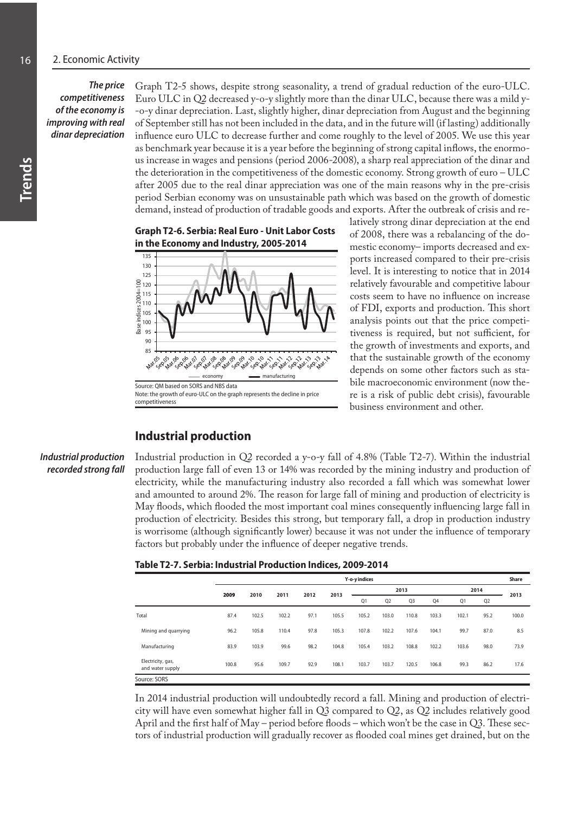#### *The price competitiveness of the economy is improving with real dinar depreciation*

Graph T2-5 shows, despite strong seasonality, a trend of gradual reduction of the euro-ULC. Euro ULC in Q2 decreased y-o-y slightly more than the dinar ULC, because there was a mild y- -o-y dinar depreciation. Last, slightly higher, dinar depreciation from August and the beginning of September still has not been included in the data, and in the future will (if lasting) additionally influence euro ULC to decrease further and come roughly to the level of 2005. We use this year as benchmark year because it is a year before the beginning of strong capital inflows, the enormous increase in wages and pensions (period 2006-2008), a sharp real appreciation of the dinar and the deterioration in the competitiveness of the domestic economy. Strong growth of euro – ULC after 2005 due to the real dinar appreciation was one of the main reasons why in the pre-crisis period Serbian economy was on unsustainable path which was based on the growth of domestic demand, instead of production of tradable goods and exports. After the outbreak of crisis and re-

**Graph T2-6. Serbia: Real Euro - Unit Labor Costs in the Economy and Industry, 2005-2014**



latively strong dinar depreciation at the end of 2008, there was a rebalancing of the domestic economy– imports decreased and exports increased compared to their pre-crisis level. It is interesting to notice that in 2014 relatively favourable and competitive labour costs seem to have no influence on increase of FDI, exports and production. This short analysis points out that the price competitiveness is required, but not sufficient, for the growth of investments and exports, and that the sustainable growth of the economy depends on some other factors such as stabile macroeconomic environment (now there is a risk of public debt crisis), favourable business environment and other.

# **Industrial production**

*Industrial production recorded strong fall* Industrial production in Q2 recorded a y-o-y fall of 4.8% (Table T2-7). Within the industrial production large fall of even 13 or 14% was recorded by the mining industry and production of electricity, while the manufacturing industry also recorded a fall which was somewhat lower and amounted to around 2%. The reason for large fall of mining and production of electricity is May floods, which flooded the most important coal mines consequently influencing large fall in production of electricity. Besides this strong, but temporary fall, a drop in production industry is worrisome (although significantly lower) because it was not under the influence of temporary factors but probably under the influence of deeper negative trends.

| Table T2-7. Serbia: Industrial Production Indices, 2009-2014 |  |  |  |  |  |
|--------------------------------------------------------------|--|--|--|--|--|
|--------------------------------------------------------------|--|--|--|--|--|

|                                       |       | Y-o-y indices |       |      |       |       |                |                |       |       |                |       |
|---------------------------------------|-------|---------------|-------|------|-------|-------|----------------|----------------|-------|-------|----------------|-------|
|                                       | 2009  | 2013<br>2014  |       |      |       |       |                |                |       |       |                | 2013  |
|                                       |       | 2010          | 2011  | 2012 | 2013  | Q1    | Q <sub>2</sub> | Q <sub>3</sub> | Q4    | Q1    | Q <sub>2</sub> |       |
| Total                                 | 87.4  | 102.5         | 102.2 | 97.1 | 105.5 | 105.2 | 103.0          | 110.8          | 103.3 | 102.1 | 95.2           | 100.0 |
| Mining and guarrying                  | 96.2  | 105.8         | 110.4 | 97.8 | 105.3 | 107.8 | 102.2          | 107.6          | 104.1 | 99.7  | 87.0           | 8.5   |
| Manufacturing                         | 83.9  | 103.9         | 99.6  | 98.2 | 104.8 | 105.4 | 103.2          | 108.8          | 102.2 | 103.6 | 98.0           | 73.9  |
| Electricity, gas,<br>and water supply | 100.8 | 95.6          | 109.7 | 92.9 | 108.1 | 103.7 | 103.7          | 120.5          | 106.8 | 99.3  | 86.2           | 17.6  |
| Source: SORS                          |       |               |       |      |       |       |                |                |       |       |                |       |

In 2014 industrial production will undoubtedly record a fall. Mining and production of electricity will have even somewhat higher fall in  $Q_3$  compared to  $Q_2$ , as  $Q_2$  includes relatively good April and the first half of May – period before floods – which won't be the case in Q3. These sectors of industrial production will gradually recover as flooded coal mines get drained, but on the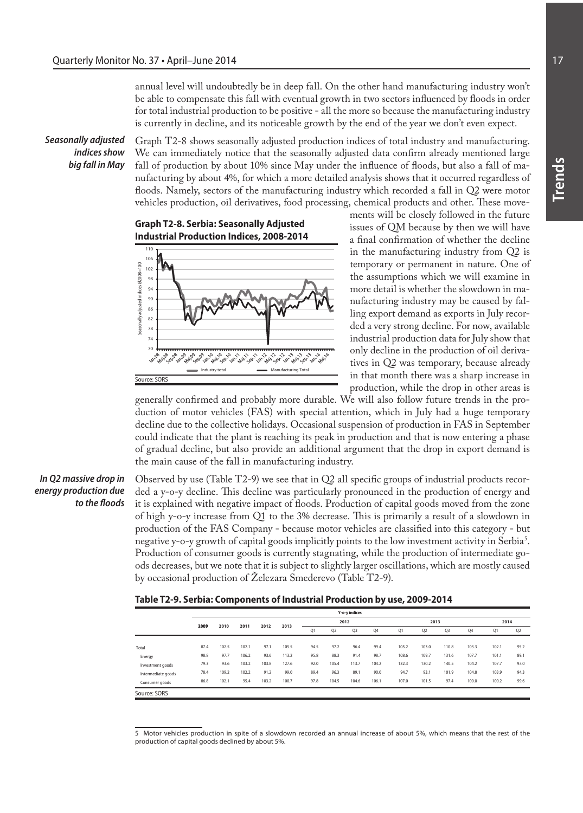annual level will undoubtedly be in deep fall. On the other hand manufacturing industry won't be able to compensate this fall with eventual growth in two sectors influenced by floods in order for total industrial production to be positive - all the more so because the manufacturing industry is currently in decline, and its noticeable growth by the end of the year we don't even expect.

*Seasonally adjusted indices show big fall in May*

Graph T2-8 shows seasonally adjusted production indices of total industry and manufacturing. We can immediately notice that the seasonally adjusted data confirm already mentioned large fall of production by about 10% since May under the influence of floods, but also a fall of manufacturing by about 4%, for which a more detailed analysis shows that it occurred regardless of floods. Namely, sectors of the manufacturing industry which recorded a fall in Q2 were motor vehicles production, oil derivatives, food processing, chemical products and other. These move-



ments will be closely followed in the future issues of QM because by then we will have a final confirmation of whether the decline in the manufacturing industry from Q2 is temporary or permanent in nature. One of the assumptions which we will examine in more detail is whether the slowdown in manufacturing industry may be caused by falling export demand as exports in July recorded a very strong decline. For now, available industrial production data for July show that only decline in the production of oil derivatives in Q2 was temporary, because already in that month there was a sharp increase in production, while the drop in other areas is

generally confirmed and probably more durable. We will also follow future trends in the production of motor vehicles (FAS) with special attention, which in July had a huge temporary decline due to the collective holidays. Occasional suspension of production in FAS in September could indicate that the plant is reaching its peak in production and that is now entering a phase of gradual decline, but also provide an additional argument that the drop in export demand is the main cause of the fall in manufacturing industry.

#### *In Q2 massive drop in energy production due to the floods*

Observed by use (Table T2-9) we see that in Q2 all specific groups of industrial products recorded a y-o-y decline. This decline was particularly pronounced in the production of energy and it is explained with negative impact of floods. Production of capital goods moved from the zone of high y-o-y increase from Q1 to the 3% decrease. This is primarily a result of a slowdown in production of the FAS Company - because motor vehicles are classified into this category - but negative y-0-y growth of capital goods implicitly points to the low investment activity in Serbia<sup>s</sup>. Production of consumer goods is currently stagnating, while the production of intermediate goods decreases, but we note that it is subject to slightly larger oscillations, which are mostly caused by occasional production of Železara Smederevo (Table T2-9).

|  |  | Table T2-9. Serbia: Components of Industrial Production by use, 2009-2014 |  |
|--|--|---------------------------------------------------------------------------|--|
|--|--|---------------------------------------------------------------------------|--|

|                    | Y-o-y indices |       |       |       |       |      |                |                |       |       |                |       |       |       |                |
|--------------------|---------------|-------|-------|-------|-------|------|----------------|----------------|-------|-------|----------------|-------|-------|-------|----------------|
|                    | 2009          | 2010  | 2011  | 2012  | 2013  | 2012 |                |                |       |       | 2013           |       |       | 2014  |                |
|                    |               |       |       |       |       | Q1   | Q <sub>2</sub> | Q <sub>3</sub> | Q4    | Q1    | Q <sub>2</sub> | Q3    | Q4    | Q1    | Q <sub>2</sub> |
|                    |               |       |       |       |       |      |                |                |       |       |                |       |       |       |                |
| Total              | 87.4          | 102.5 | 102.1 | 97.1  | 105.5 | 94.5 | 97.2           | 96.4           | 99.4  | 105.2 | 103.0          | 110.8 | 103.3 | 102.1 | 95.2           |
| Energy             | 98.8          | 97.7  | 106.2 | 93.6  | 113.2 | 95.8 | 88.3           | 91.4           | 98.7  | 108.6 | 109.7          | 131.6 | 107.7 | 101.1 | 89.1           |
| Investment goods   | 79.3          | 93.6  | 103.2 | 103.8 | 127.6 | 92.0 | 105.4          | 113.7          | 104.2 | 132.3 | 130.2          | 140.5 | 104.2 | 107.7 | 97.0           |
| Intermediate goods | 78.4          | 109.2 | 102.2 | 91.2  | 99.0  | 89.4 | 96.3           | 89.1           | 90.0  | 94.7  | 93.1           | 101.9 | 104.8 | 103.9 | 94.3           |
| Consumer goods     | 86.8          | 102.1 | 95.4  | 103.2 | 100.7 | 97.8 | 104.5          | 104.6          | 106.1 | 107.0 | 101.5          | 97.4  | 100.0 | 100.2 | 99.6           |
| Source: SORS       |               |       |       |       |       |      |                |                |       |       |                |       |       |       |                |

<sup>5</sup> Motor vehicles production in spite of a slowdown recorded an annual increase of about 5%, which means that the rest of the production of capital goods declined by about 5%.